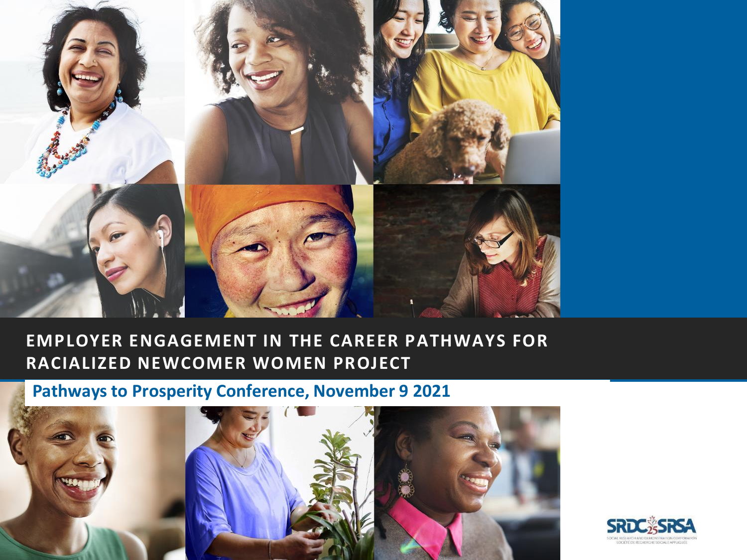

#### **EMPLOYER ENGAGEMENT IN THE CAREER PATHWAYS FOR RACIALIZED NEWCOMER WOMEN PROJECT**

#### **Pathways to Prosperity Conference, November 9 2021**



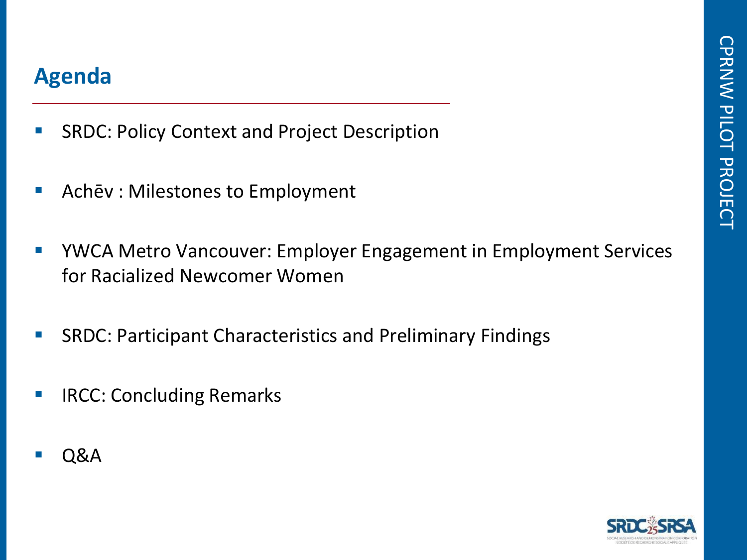### **Agenda**

- SRDC: Policy Context and Project Description
- Achēv : Milestones to Employment
- YWCA Metro Vancouver: Employer Engagement in Employment Services for Racialized Newcomer Women
- SRDC: Participant Characteristics and Preliminary Findings
- **E** IRCC: Concluding Remarks
- **Q&A**

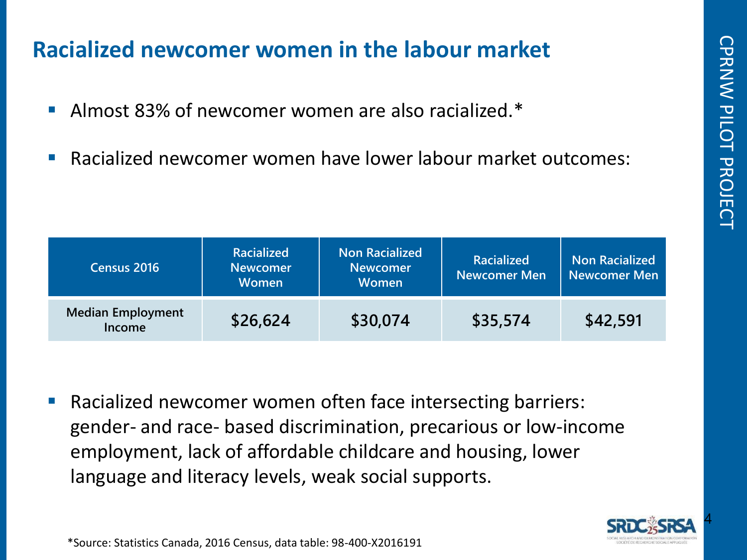### **Racialized newcomer women in the labour market**

- Almost 83% of newcomer women are also racialized.\*
- Racialized newcomer women have lower labour market outcomes:

| Census 2016                        | <b>Racialized</b><br><b>Newcomer</b><br><b>Women</b> | <b>Non Racialized</b><br><b>Newcomer</b><br><b>Women</b> | <b>Racialized</b><br><b>Newcomer Men</b> | <b>Non Racialized</b><br><b>Newcomer Men</b> |  |
|------------------------------------|------------------------------------------------------|----------------------------------------------------------|------------------------------------------|----------------------------------------------|--|
| <b>Median Employment</b><br>Income | \$26,624                                             | \$30,074                                                 | \$35,574                                 | \$42,591                                     |  |

Racialized newcomer women often face intersecting barriers: gender- and race- based discrimination, precarious or low-income employment, lack of affordable childcare and housing, lower language and literacy levels, weak social supports.

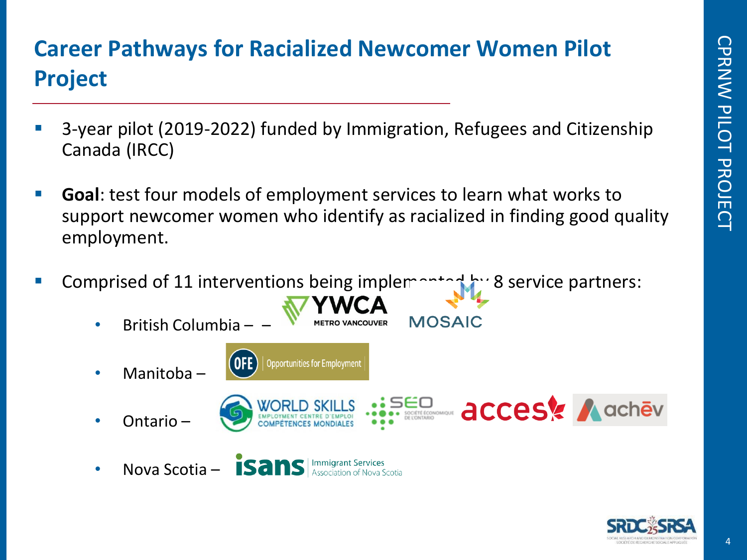# **Career Pathways for Racialized Newcomer Women Pilot Project**

- 3-year pilot (2019-2022) funded by Immigration, Refugees and Citizenship Canada (IRCC)
- **Goal**: test four models of employment services to learn what works to support newcomer women who identify as racialized in finding good quality employment.
- Comprised of 11 interventions being implemented by 8 service partners:
	- British Columbia – **MOSAIC Opportunities for Employment** • Manitoba – **accest A achev** • Ontario – • Nova Scotia – **ISANS Association**

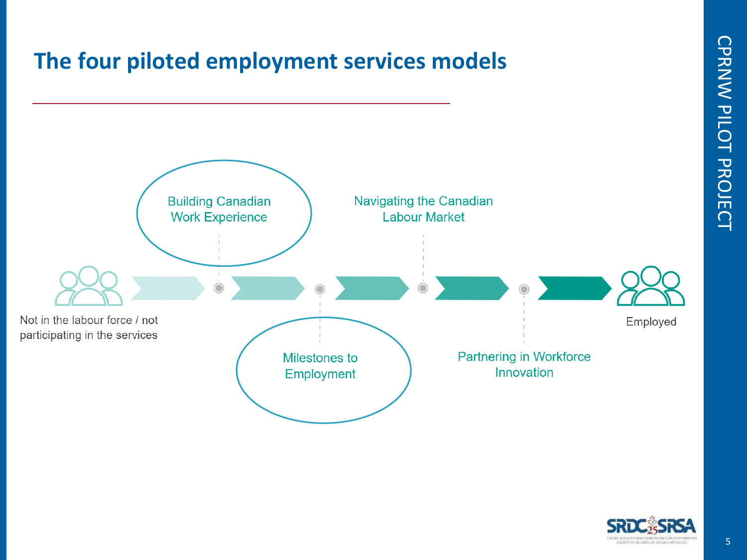



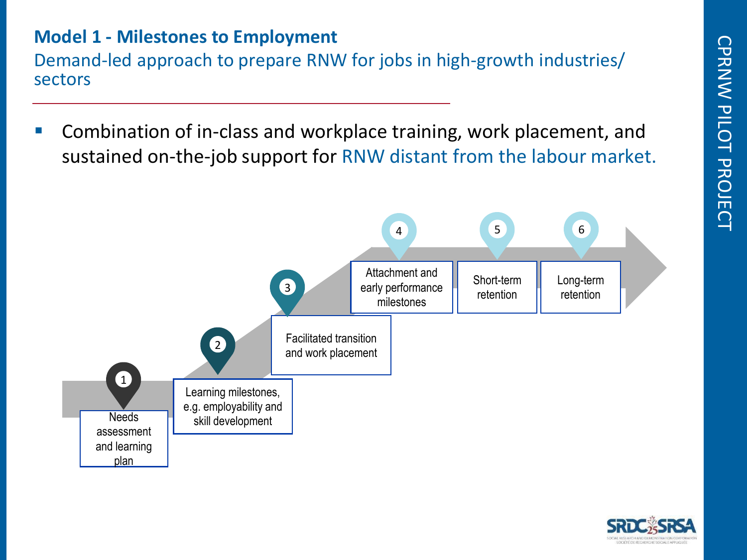#### **Model 1 - Milestones to Employment**

Demand-led approach to prepare RNW for jobs in high-growth industries/ sectors

■ Combination of in-class and workplace training, work placement, and sustained on-the-job support for RNW distant from the labour market.



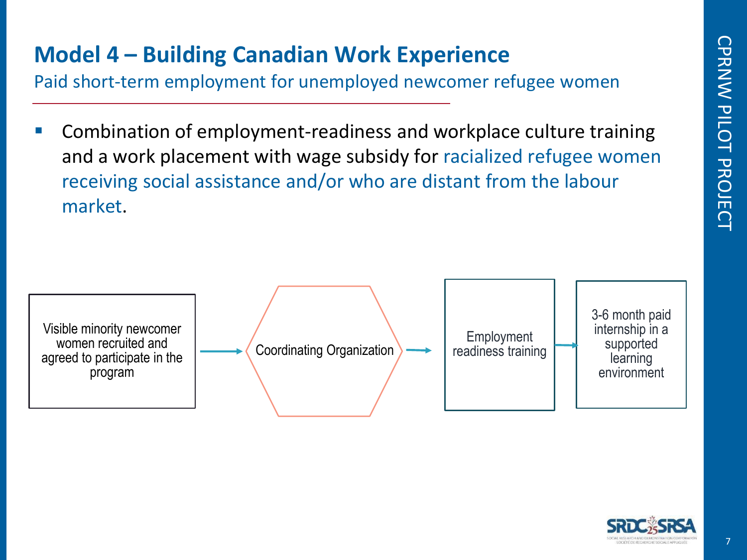# **Model 4 – Building Canadian Work Experience**

Paid short-term employment for unemployed newcomer refugee women

Combination of employment-readiness and workplace culture training and a work placement with wage subsidy for racialized refugee women receiving social assistance and/or who are distant from the labour market.



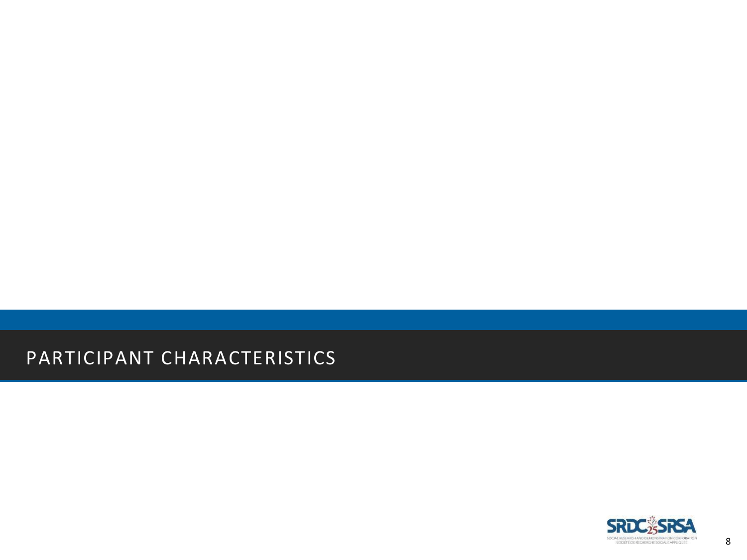#### PARTICIPANT CHARACTERISTICS

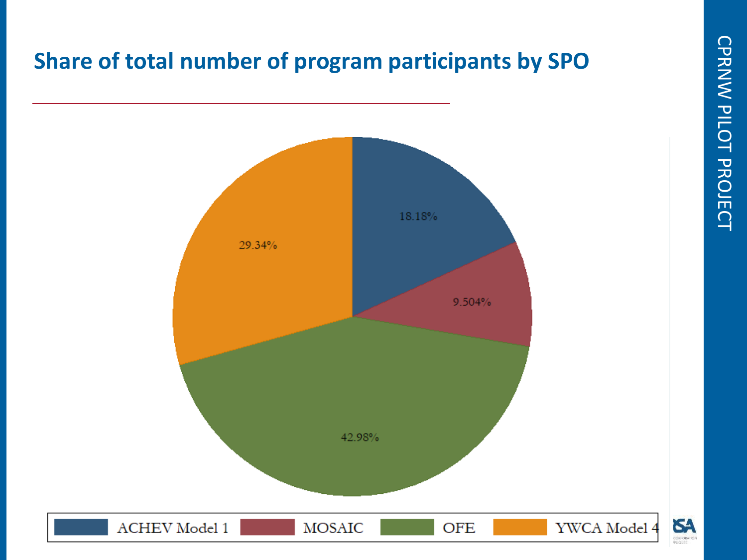# **Share of total number of program participants by SPO**



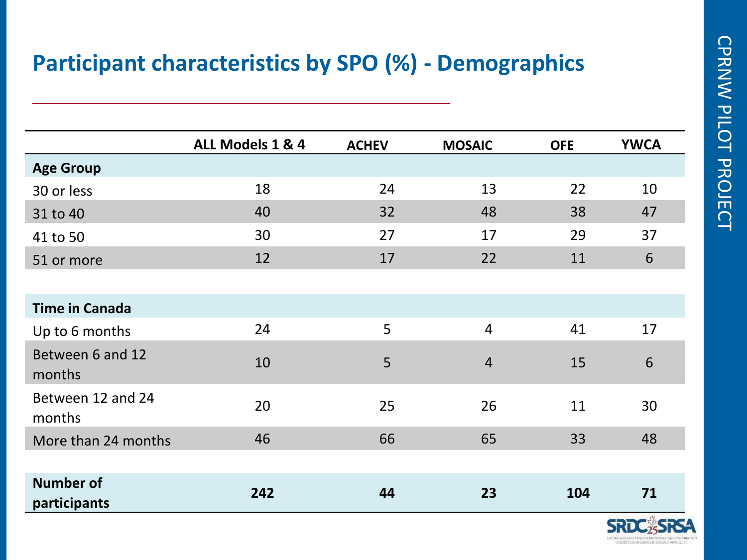## **Participant characteristics by SPO (%) - Demographics**

|                                  | ALL Models 1 & 4 | <b>ACHEV</b> | <b>MOSAIC</b>  | <b>OFE</b> | <b>YWCA</b> |
|----------------------------------|------------------|--------------|----------------|------------|-------------|
| <b>Age Group</b>                 |                  |              |                |            |             |
| 30 or less                       | 18               | 24           | 13             | 22         | 10          |
| 31 to 40                         | 40               | 32           | 48             | 38         | 47          |
| 41 to 50                         | 30               | 27           | 17             | 29         | 37          |
| 51 or more                       | 12               | 17           | 22             | 11         | 6           |
|                                  |                  |              |                |            |             |
| <b>Time in Canada</b>            |                  |              |                |            |             |
| Up to 6 months                   | 24               | 5            | $\overline{4}$ | 41         | 17          |
| Between 6 and 12<br>months       | 10               | 5            | $\overline{4}$ | 15         | 6           |
| Between 12 and 24<br>months      | 20               | 25           | 26             | 11         | 30          |
| More than 24 months              | 46               | 66           | 65             | 33         | 48          |
|                                  |                  |              |                |            |             |
| <b>Number of</b><br>participants | 242              | 44           | 23             | 104        | 71          |
|                                  |                  |              |                |            | SRD         |

SIDCIAL RESEARCH AND DEMONSTRATION CORPORAT **SOCIÉTÉ DE RECHERCHE SOCIALE APPLIQUÉ**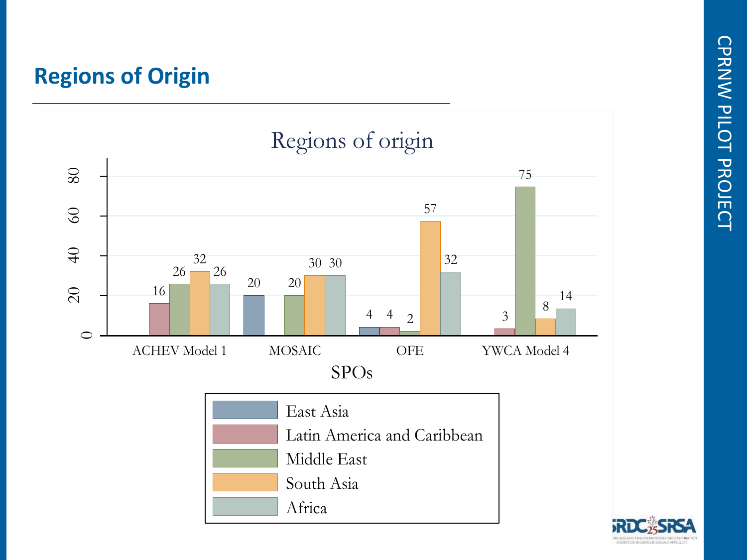## **Regions of Origin**

percent



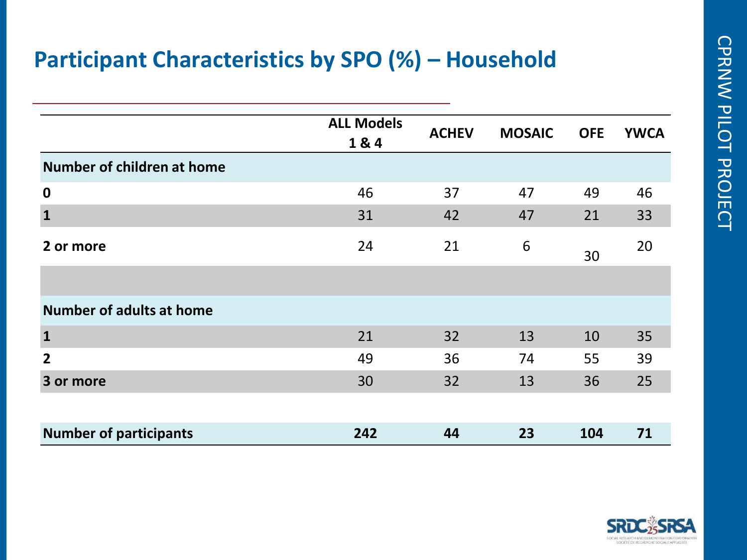## **Participant Characteristics by SPO (%) – Household**

|                                 | <b>ALL Models</b> | <b>ACHEV</b> | <b>MOSAIC</b> | <b>OFE</b> | <b>YWCA</b> |
|---------------------------------|-------------------|--------------|---------------|------------|-------------|
|                                 | 1&4               |              |               |            |             |
| Number of children at home      |                   |              |               |            |             |
| $\mathbf 0$                     | 46                | 37           | 47            | 49         | 46          |
| $\mathbf{1}$                    | 31                | 42           | 47            | 21         | 33          |
| 2 or more                       | 24                | 21           | 6             | 30         | 20          |
|                                 |                   |              |               |            |             |
| <b>Number of adults at home</b> |                   |              |               |            |             |
| $\mathbf{1}$                    | 21                | 32           | 13            | 10         | 35          |
| $\overline{2}$                  | 49                | 36           | 74            | 55         | 39          |
| 3 or more                       | 30                | 32           | 13            | 36         | 25          |
|                                 |                   |              |               |            |             |
| <b>Number of participants</b>   | 242               | 44           | 23            | 104        | 71          |

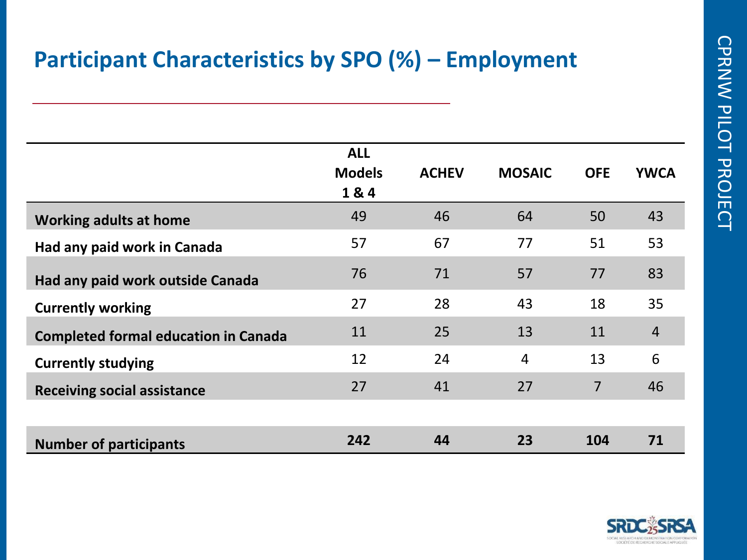## **Participant Characteristics by SPO (%) – Employment**

|                                             | <b>ALL</b><br><b>Models</b><br>1&4 | <b>ACHEV</b> | <b>MOSAIC</b>  | <b>OFE</b>     | <b>YWCA</b>    |
|---------------------------------------------|------------------------------------|--------------|----------------|----------------|----------------|
| <b>Working adults at home</b>               | 49                                 | 46           | 64             | 50             | 43             |
| Had any paid work in Canada                 | 57                                 | 67           | 77             | 51             | 53             |
| Had any paid work outside Canada            | 76                                 | 71           | 57             | 77             | 83             |
| <b>Currently working</b>                    | 27                                 | 28           | 43             | 18             | 35             |
| <b>Completed formal education in Canada</b> | 11                                 | 25           | 13             | 11             | $\overline{4}$ |
| <b>Currently studying</b>                   | 12                                 | 24           | $\overline{4}$ | 13             | 6              |
| <b>Receiving social assistance</b>          | 27                                 | 41           | 27             | $\overline{7}$ | 46             |
|                                             |                                    |              |                |                |                |
| <b>Number of participants</b>               | 242                                | 44           | 23             | 104            | 71             |

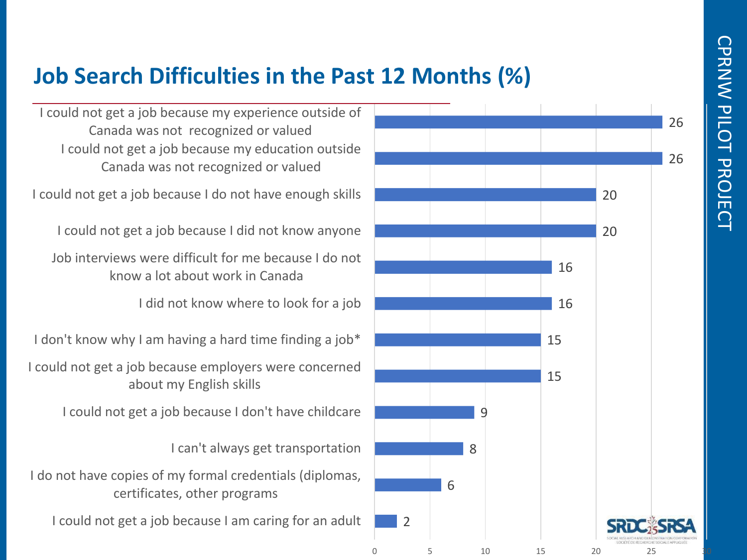## **Job Search Difficulties in the Past 12 Months (%)**

I could not get a job because my education outside Canada was not recognized or valued I could not get a job because my experience outside of Canada was not recognized or valued

I could not get a job because I do not have enough skills

I could not get a job because I did not know anyone

Job interviews were difficult for me because I do not know a lot about work in Canada

I did not know where to look for a job

I don't know why I am having a hard time finding a job\*

I could not get a job because employers were concerned about my English skills

I could not get a job because I don't have childcare

I can't always get transportation

I do not have copies of my formal credentials (diplomas, certificates, other programs

I could not get a job because I am caring for an adult

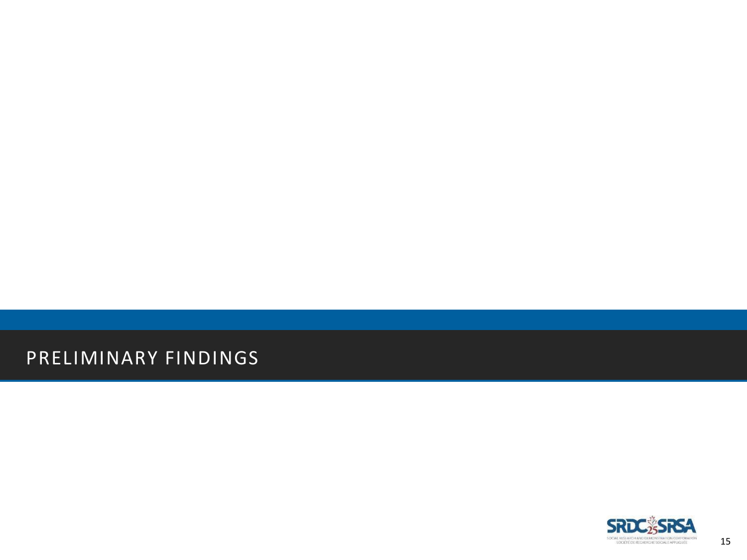PRELIMINARY FINDINGS

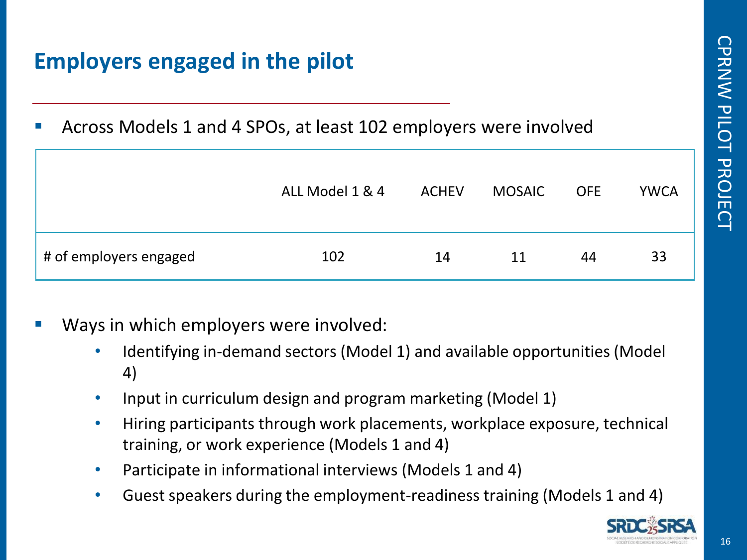# **Employers engaged in the pilot**

Across Models 1 and 4 SPOs, at least 102 employers were involved

|                        | ALL Model 1 & 4 | <b>ACHEV</b> | <b>MOSAIC</b> | <b>OFE</b> | <b>YWCA</b> |
|------------------------|-----------------|--------------|---------------|------------|-------------|
| # of employers engaged | 102             | 14           | 11            | 44         | 33          |

- Ways in which employers were involved:
	- Identifying in-demand sectors (Model 1) and available opportunities (Model 4)
	- Input in curriculum design and program marketing (Model 1)
	- Hiring participants through work placements, workplace exposure, technical training, or work experience (Models 1 and 4)
	- Participate in informational interviews (Models 1 and 4)
	- Guest speakers during the employment-readiness training (Models 1 and 4)

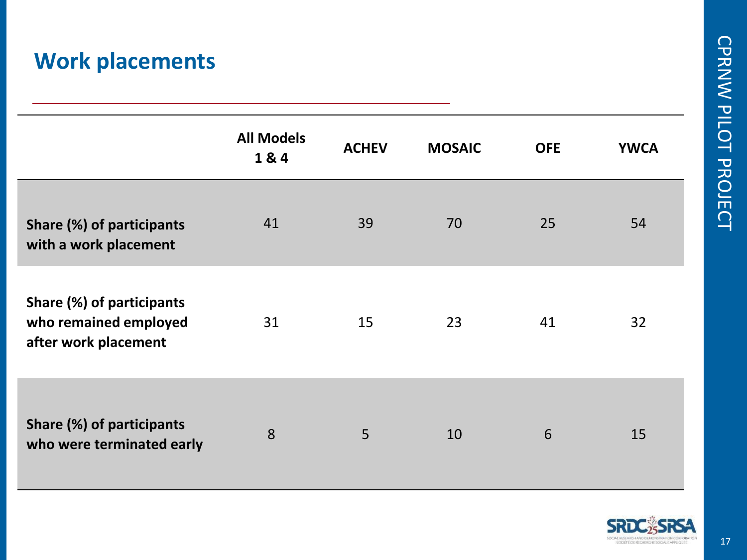## **Work placements**

|                                                                            | <b>All Models</b><br>1&4 | <b>ACHEV</b> | <b>MOSAIC</b> | <b>OFE</b> | <b>YWCA</b> |
|----------------------------------------------------------------------------|--------------------------|--------------|---------------|------------|-------------|
| Share (%) of participants<br>with a work placement                         | 41                       | 39           | 70            | 25         | 54          |
| Share (%) of participants<br>who remained employed<br>after work placement | 31                       | 15           | 23            | 41         | 32          |
| Share (%) of participants<br>who were terminated early                     | 8                        | 5            | 10            | 6          | 15          |



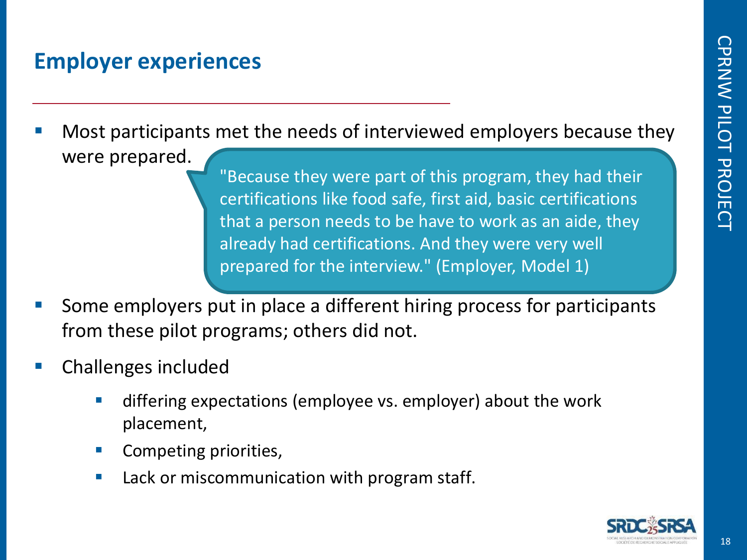## **Employer experiences**

Most participants met the needs of interviewed employers because they were prepared.

"Because they were part of this program, they had their certifications like food safe, first aid, basic certifications that a person needs to be have to work as an aide, they already had certifications. And they were very well prepared for the interview." (Employer, Model 1)

- Some employers put in place a different hiring process for participants from these pilot programs; others did not.
- Challenges included
	- differing expectations (employee vs. employer) about the work placement,
	- Competing priorities,
	- Lack or miscommunication with program staff.

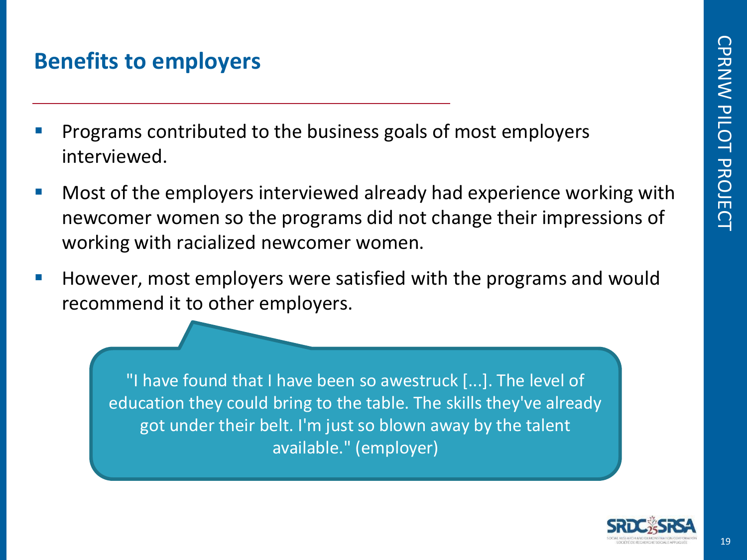#### **Benefits to employers**

- Programs contributed to the business goals of most employers interviewed.
- Most of the employers interviewed already had experience working with newcomer women so the programs did not change their impressions of working with racialized newcomer women.
- However, most employers were satisfied with the programs and would recommend it to other employers.

"I have found that I have been so awestruck [...]. The level of education they could bring to the table. The skills they've already got under their belt. I'm just so blown away by the talent available." (employer)